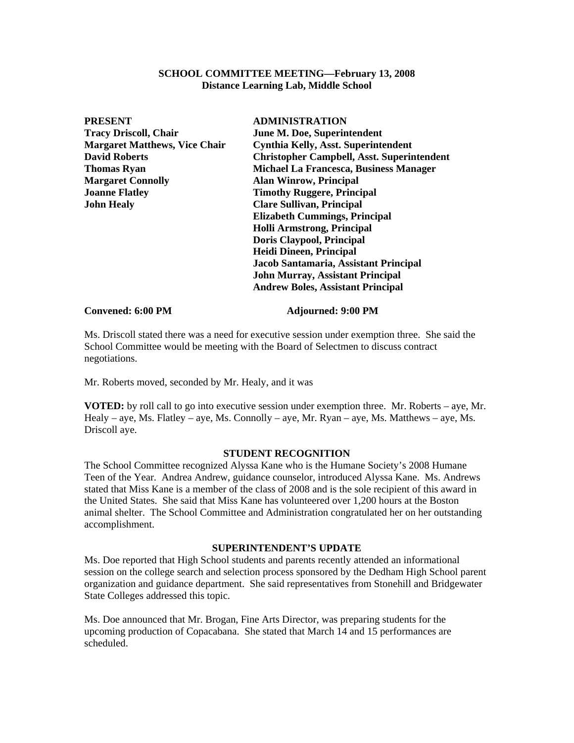### **SCHOOL COMMITTEE MEETING—February 13, 2008 Distance Learning Lab, Middle School**

| <b>PRESENT</b>                       | <b>ADMINISTRATION</b>                             |
|--------------------------------------|---------------------------------------------------|
| <b>Tracy Driscoll, Chair</b>         | <b>June M. Doe, Superintendent</b>                |
| <b>Margaret Matthews, Vice Chair</b> | <b>Cynthia Kelly, Asst. Superintendent</b>        |
| <b>David Roberts</b>                 | <b>Christopher Campbell, Asst. Superintendent</b> |
| <b>Thomas Ryan</b>                   | <b>Michael La Francesca, Business Manager</b>     |
| <b>Margaret Connolly</b>             | <b>Alan Winrow, Principal</b>                     |
| <b>Joanne Flatley</b>                | <b>Timothy Ruggere, Principal</b>                 |
| <b>John Healy</b>                    | <b>Clare Sullivan, Principal</b>                  |
|                                      | <b>Elizabeth Cummings, Principal</b>              |
|                                      | <b>Holli Armstrong, Principal</b>                 |
|                                      | Doris Claypool, Principal                         |
|                                      | <b>Heidi Dineen, Principal</b>                    |
|                                      | Jacob Santamaria, Assistant Principal             |
|                                      | <b>John Murray, Assistant Principal</b>           |
|                                      | <b>Andrew Boles, Assistant Principal</b>          |
|                                      |                                                   |

### **Convened: 6:00 PM Adjourned: 9:00 PM**

Ms. Driscoll stated there was a need for executive session under exemption three. She said the School Committee would be meeting with the Board of Selectmen to discuss contract negotiations.

Mr. Roberts moved, seconded by Mr. Healy, and it was

**VOTED:** by roll call to go into executive session under exemption three. Mr. Roberts – aye, Mr. Healy – aye, Ms. Flatley – aye, Ms. Connolly – aye, Mr. Ryan – aye, Ms. Matthews – aye, Ms. Driscoll aye.

## **STUDENT RECOGNITION**

The School Committee recognized Alyssa Kane who is the Humane Society's 2008 Humane Teen of the Year. Andrea Andrew, guidance counselor, introduced Alyssa Kane. Ms. Andrews stated that Miss Kane is a member of the class of 2008 and is the sole recipient of this award in the United States. She said that Miss Kane has volunteered over 1,200 hours at the Boston animal shelter. The School Committee and Administration congratulated her on her outstanding accomplishment.

# **SUPERINTENDENT'S UPDATE**

Ms. Doe reported that High School students and parents recently attended an informational session on the college search and selection process sponsored by the Dedham High School parent organization and guidance department. She said representatives from Stonehill and Bridgewater State Colleges addressed this topic.

Ms. Doe announced that Mr. Brogan, Fine Arts Director, was preparing students for the upcoming production of Copacabana. She stated that March 14 and 15 performances are scheduled.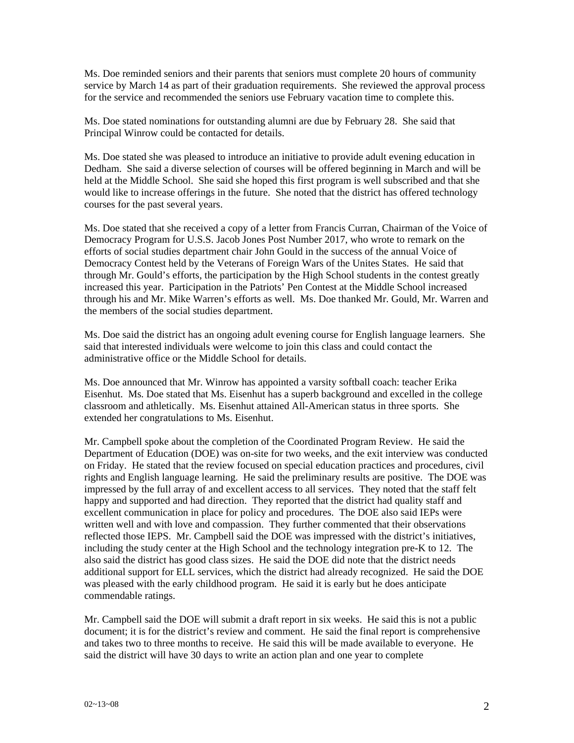Ms. Doe reminded seniors and their parents that seniors must complete 20 hours of community service by March 14 as part of their graduation requirements. She reviewed the approval process for the service and recommended the seniors use February vacation time to complete this.

Ms. Doe stated nominations for outstanding alumni are due by February 28. She said that Principal Winrow could be contacted for details.

Ms. Doe stated she was pleased to introduce an initiative to provide adult evening education in Dedham. She said a diverse selection of courses will be offered beginning in March and will be held at the Middle School. She said she hoped this first program is well subscribed and that she would like to increase offerings in the future. She noted that the district has offered technology courses for the past several years.

Ms. Doe stated that she received a copy of a letter from Francis Curran, Chairman of the Voice of Democracy Program for U.S.S. Jacob Jones Post Number 2017, who wrote to remark on the efforts of social studies department chair John Gould in the success of the annual Voice of Democracy Contest held by the Veterans of Foreign Wars of the Unites States. He said that through Mr. Gould's efforts, the participation by the High School students in the contest greatly increased this year. Participation in the Patriots' Pen Contest at the Middle School increased through his and Mr. Mike Warren's efforts as well. Ms. Doe thanked Mr. Gould, Mr. Warren and the members of the social studies department.

Ms. Doe said the district has an ongoing adult evening course for English language learners. She said that interested individuals were welcome to join this class and could contact the administrative office or the Middle School for details.

Ms. Doe announced that Mr. Winrow has appointed a varsity softball coach: teacher Erika Eisenhut. Ms. Doe stated that Ms. Eisenhut has a superb background and excelled in the college classroom and athletically. Ms. Eisenhut attained All-American status in three sports. She extended her congratulations to Ms. Eisenhut.

Mr. Campbell spoke about the completion of the Coordinated Program Review. He said the Department of Education (DOE) was on-site for two weeks, and the exit interview was conducted on Friday. He stated that the review focused on special education practices and procedures, civil rights and English language learning. He said the preliminary results are positive. The DOE was impressed by the full array of and excellent access to all services. They noted that the staff felt happy and supported and had direction. They reported that the district had quality staff and excellent communication in place for policy and procedures. The DOE also said IEPs were written well and with love and compassion. They further commented that their observations reflected those IEPS. Mr. Campbell said the DOE was impressed with the district's initiatives, including the study center at the High School and the technology integration pre-K to 12. The also said the district has good class sizes. He said the DOE did note that the district needs additional support for ELL services, which the district had already recognized. He said the DOE was pleased with the early childhood program. He said it is early but he does anticipate commendable ratings.

Mr. Campbell said the DOE will submit a draft report in six weeks. He said this is not a public document; it is for the district's review and comment. He said the final report is comprehensive and takes two to three months to receive. He said this will be made available to everyone. He said the district will have 30 days to write an action plan and one year to complete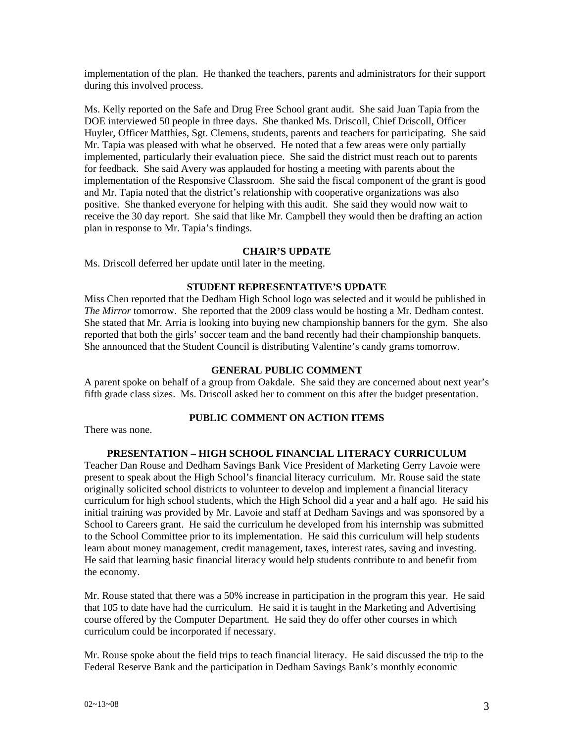implementation of the plan. He thanked the teachers, parents and administrators for their support during this involved process.

Ms. Kelly reported on the Safe and Drug Free School grant audit. She said Juan Tapia from the DOE interviewed 50 people in three days. She thanked Ms. Driscoll, Chief Driscoll, Officer Huyler, Officer Matthies, Sgt. Clemens, students, parents and teachers for participating. She said Mr. Tapia was pleased with what he observed. He noted that a few areas were only partially implemented, particularly their evaluation piece. She said the district must reach out to parents for feedback. She said Avery was applauded for hosting a meeting with parents about the implementation of the Responsive Classroom. She said the fiscal component of the grant is good and Mr. Tapia noted that the district's relationship with cooperative organizations was also positive. She thanked everyone for helping with this audit. She said they would now wait to receive the 30 day report. She said that like Mr. Campbell they would then be drafting an action plan in response to Mr. Tapia's findings.

### **CHAIR'S UPDATE**

Ms. Driscoll deferred her update until later in the meeting.

### **STUDENT REPRESENTATIVE'S UPDATE**

Miss Chen reported that the Dedham High School logo was selected and it would be published in *The Mirror* tomorrow. She reported that the 2009 class would be hosting a Mr. Dedham contest. She stated that Mr. Arria is looking into buying new championship banners for the gym. She also reported that both the girls' soccer team and the band recently had their championship banquets. She announced that the Student Council is distributing Valentine's candy grams tomorrow.

## **GENERAL PUBLIC COMMENT**

A parent spoke on behalf of a group from Oakdale. She said they are concerned about next year's fifth grade class sizes. Ms. Driscoll asked her to comment on this after the budget presentation.

# **PUBLIC COMMENT ON ACTION ITEMS**

There was none.

### **PRESENTATION – HIGH SCHOOL FINANCIAL LITERACY CURRICULUM**

Teacher Dan Rouse and Dedham Savings Bank Vice President of Marketing Gerry Lavoie were present to speak about the High School's financial literacy curriculum. Mr. Rouse said the state originally solicited school districts to volunteer to develop and implement a financial literacy curriculum for high school students, which the High School did a year and a half ago. He said his initial training was provided by Mr. Lavoie and staff at Dedham Savings and was sponsored by a School to Careers grant. He said the curriculum he developed from his internship was submitted to the School Committee prior to its implementation. He said this curriculum will help students learn about money management, credit management, taxes, interest rates, saving and investing. He said that learning basic financial literacy would help students contribute to and benefit from the economy.

Mr. Rouse stated that there was a 50% increase in participation in the program this year. He said that 105 to date have had the curriculum. He said it is taught in the Marketing and Advertising course offered by the Computer Department. He said they do offer other courses in which curriculum could be incorporated if necessary.

Mr. Rouse spoke about the field trips to teach financial literacy. He said discussed the trip to the Federal Reserve Bank and the participation in Dedham Savings Bank's monthly economic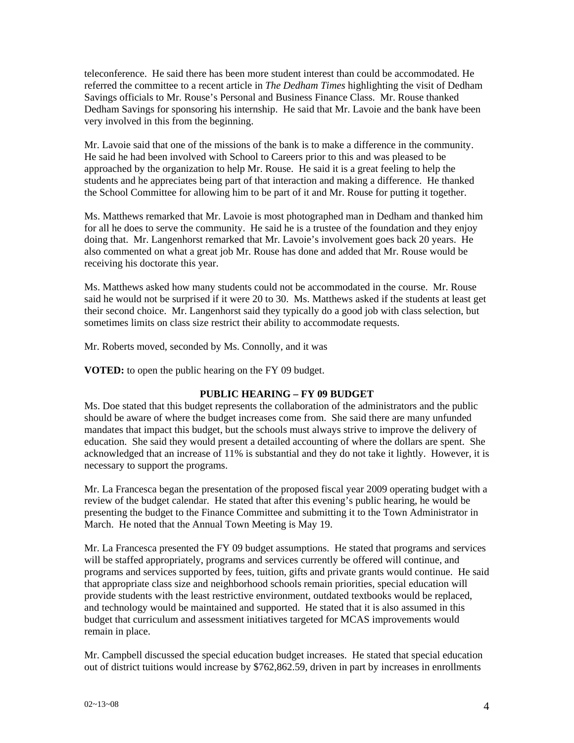teleconference. He said there has been more student interest than could be accommodated. He referred the committee to a recent article in *The Dedham Times* highlighting the visit of Dedham Savings officials to Mr. Rouse's Personal and Business Finance Class. Mr. Rouse thanked Dedham Savings for sponsoring his internship. He said that Mr. Lavoie and the bank have been very involved in this from the beginning.

Mr. Lavoie said that one of the missions of the bank is to make a difference in the community. He said he had been involved with School to Careers prior to this and was pleased to be approached by the organization to help Mr. Rouse. He said it is a great feeling to help the students and he appreciates being part of that interaction and making a difference. He thanked the School Committee for allowing him to be part of it and Mr. Rouse for putting it together.

Ms. Matthews remarked that Mr. Lavoie is most photographed man in Dedham and thanked him for all he does to serve the community. He said he is a trustee of the foundation and they enjoy doing that. Mr. Langenhorst remarked that Mr. Lavoie's involvement goes back 20 years. He also commented on what a great job Mr. Rouse has done and added that Mr. Rouse would be receiving his doctorate this year.

Ms. Matthews asked how many students could not be accommodated in the course. Mr. Rouse said he would not be surprised if it were 20 to 30. Ms. Matthews asked if the students at least get their second choice. Mr. Langenhorst said they typically do a good job with class selection, but sometimes limits on class size restrict their ability to accommodate requests.

Mr. Roberts moved, seconded by Ms. Connolly, and it was

**VOTED:** to open the public hearing on the FY 09 budget.

# **PUBLIC HEARING – FY 09 BUDGET**

Ms. Doe stated that this budget represents the collaboration of the administrators and the public should be aware of where the budget increases come from. She said there are many unfunded mandates that impact this budget, but the schools must always strive to improve the delivery of education. She said they would present a detailed accounting of where the dollars are spent. She acknowledged that an increase of 11% is substantial and they do not take it lightly. However, it is necessary to support the programs.

Mr. La Francesca began the presentation of the proposed fiscal year 2009 operating budget with a review of the budget calendar. He stated that after this evening's public hearing, he would be presenting the budget to the Finance Committee and submitting it to the Town Administrator in March. He noted that the Annual Town Meeting is May 19.

Mr. La Francesca presented the FY 09 budget assumptions. He stated that programs and services will be staffed appropriately, programs and services currently be offered will continue, and programs and services supported by fees, tuition, gifts and private grants would continue. He said that appropriate class size and neighborhood schools remain priorities, special education will provide students with the least restrictive environment, outdated textbooks would be replaced, and technology would be maintained and supported. He stated that it is also assumed in this budget that curriculum and assessment initiatives targeted for MCAS improvements would remain in place.

Mr. Campbell discussed the special education budget increases. He stated that special education out of district tuitions would increase by \$762,862.59, driven in part by increases in enrollments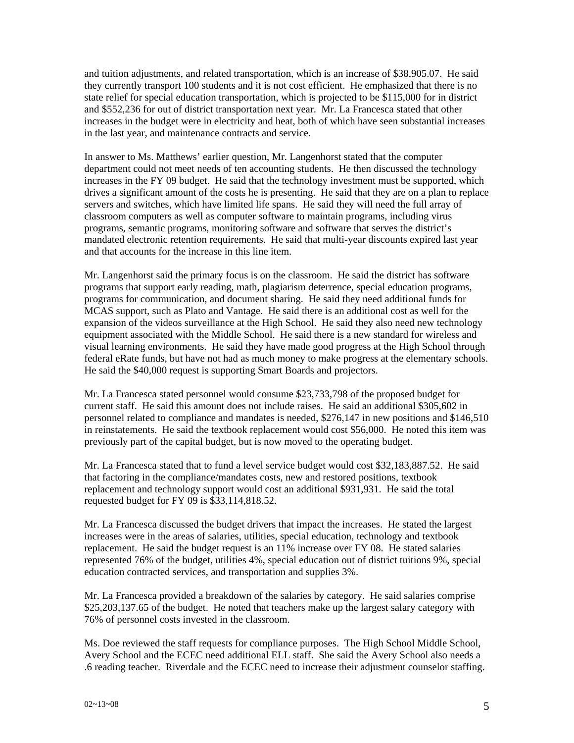and tuition adjustments, and related transportation, which is an increase of \$38,905.07. He said they currently transport 100 students and it is not cost efficient. He emphasized that there is no state relief for special education transportation, which is projected to be \$115,000 for in district and \$552,236 for out of district transportation next year. Mr. La Francesca stated that other increases in the budget were in electricity and heat, both of which have seen substantial increases in the last year, and maintenance contracts and service.

In answer to Ms. Matthews' earlier question, Mr. Langenhorst stated that the computer department could not meet needs of ten accounting students. He then discussed the technology increases in the FY 09 budget. He said that the technology investment must be supported, which drives a significant amount of the costs he is presenting. He said that they are on a plan to replace servers and switches, which have limited life spans. He said they will need the full array of classroom computers as well as computer software to maintain programs, including virus programs, semantic programs, monitoring software and software that serves the district's mandated electronic retention requirements. He said that multi-year discounts expired last year and that accounts for the increase in this line item.

Mr. Langenhorst said the primary focus is on the classroom. He said the district has software programs that support early reading, math, plagiarism deterrence, special education programs, programs for communication, and document sharing. He said they need additional funds for MCAS support, such as Plato and Vantage. He said there is an additional cost as well for the expansion of the videos surveillance at the High School. He said they also need new technology equipment associated with the Middle School. He said there is a new standard for wireless and visual learning environments. He said they have made good progress at the High School through federal eRate funds, but have not had as much money to make progress at the elementary schools. He said the \$40,000 request is supporting Smart Boards and projectors.

Mr. La Francesca stated personnel would consume \$23,733,798 of the proposed budget for current staff. He said this amount does not include raises. He said an additional \$305,602 in personnel related to compliance and mandates is needed, \$276,147 in new positions and \$146,510 in reinstatements. He said the textbook replacement would cost \$56,000. He noted this item was previously part of the capital budget, but is now moved to the operating budget.

Mr. La Francesca stated that to fund a level service budget would cost \$32,183,887.52. He said that factoring in the compliance/mandates costs, new and restored positions, textbook replacement and technology support would cost an additional \$931,931. He said the total requested budget for FY 09 is \$33,114,818.52.

Mr. La Francesca discussed the budget drivers that impact the increases. He stated the largest increases were in the areas of salaries, utilities, special education, technology and textbook replacement. He said the budget request is an 11% increase over FY 08. He stated salaries represented 76% of the budget, utilities 4%, special education out of district tuitions 9%, special education contracted services, and transportation and supplies 3%.

Mr. La Francesca provided a breakdown of the salaries by category. He said salaries comprise \$25,203,137.65 of the budget. He noted that teachers make up the largest salary category with 76% of personnel costs invested in the classroom.

Ms. Doe reviewed the staff requests for compliance purposes. The High School Middle School, Avery School and the ECEC need additional ELL staff. She said the Avery School also needs a .6 reading teacher. Riverdale and the ECEC need to increase their adjustment counselor staffing.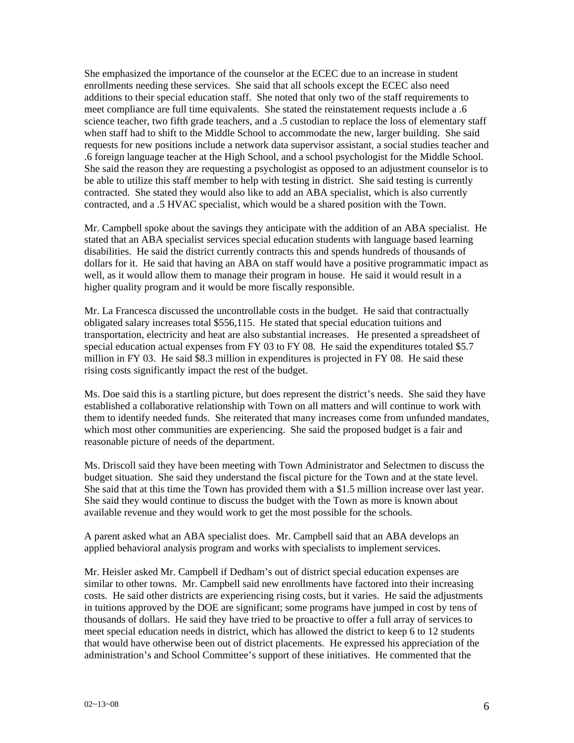She emphasized the importance of the counselor at the ECEC due to an increase in student enrollments needing these services. She said that all schools except the ECEC also need additions to their special education staff. She noted that only two of the staff requirements to meet compliance are full time equivalents. She stated the reinstatement requests include a .6 science teacher, two fifth grade teachers, and a .5 custodian to replace the loss of elementary staff when staff had to shift to the Middle School to accommodate the new, larger building. She said requests for new positions include a network data supervisor assistant, a social studies teacher and .6 foreign language teacher at the High School, and a school psychologist for the Middle School. She said the reason they are requesting a psychologist as opposed to an adjustment counselor is to be able to utilize this staff member to help with testing in district. She said testing is currently contracted. She stated they would also like to add an ABA specialist, which is also currently contracted, and a .5 HVAC specialist, which would be a shared position with the Town.

Mr. Campbell spoke about the savings they anticipate with the addition of an ABA specialist. He stated that an ABA specialist services special education students with language based learning disabilities. He said the district currently contracts this and spends hundreds of thousands of dollars for it. He said that having an ABA on staff would have a positive programmatic impact as well, as it would allow them to manage their program in house. He said it would result in a higher quality program and it would be more fiscally responsible.

Mr. La Francesca discussed the uncontrollable costs in the budget. He said that contractually obligated salary increases total \$556,115. He stated that special education tuitions and transportation, electricity and heat are also substantial increases. He presented a spreadsheet of special education actual expenses from FY 03 to FY 08. He said the expenditures totaled \$5.7 million in FY 03. He said \$8.3 million in expenditures is projected in FY 08. He said these rising costs significantly impact the rest of the budget.

Ms. Doe said this is a startling picture, but does represent the district's needs. She said they have established a collaborative relationship with Town on all matters and will continue to work with them to identify needed funds. She reiterated that many increases come from unfunded mandates, which most other communities are experiencing. She said the proposed budget is a fair and reasonable picture of needs of the department.

Ms. Driscoll said they have been meeting with Town Administrator and Selectmen to discuss the budget situation. She said they understand the fiscal picture for the Town and at the state level. She said that at this time the Town has provided them with a \$1.5 million increase over last year. She said they would continue to discuss the budget with the Town as more is known about available revenue and they would work to get the most possible for the schools.

A parent asked what an ABA specialist does. Mr. Campbell said that an ABA develops an applied behavioral analysis program and works with specialists to implement services.

Mr. Heisler asked Mr. Campbell if Dedham's out of district special education expenses are similar to other towns. Mr. Campbell said new enrollments have factored into their increasing costs. He said other districts are experiencing rising costs, but it varies. He said the adjustments in tuitions approved by the DOE are significant; some programs have jumped in cost by tens of thousands of dollars. He said they have tried to be proactive to offer a full array of services to meet special education needs in district, which has allowed the district to keep 6 to 12 students that would have otherwise been out of district placements. He expressed his appreciation of the administration's and School Committee's support of these initiatives. He commented that the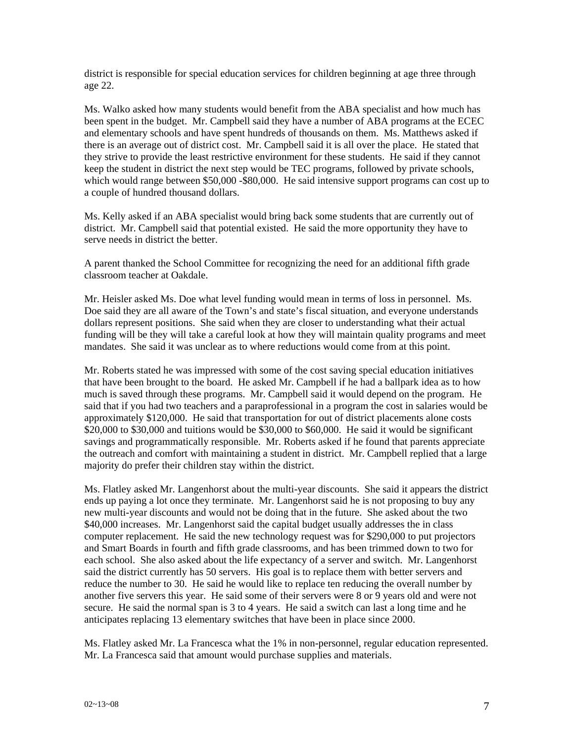district is responsible for special education services for children beginning at age three through age 22.

Ms. Walko asked how many students would benefit from the ABA specialist and how much has been spent in the budget. Mr. Campbell said they have a number of ABA programs at the ECEC and elementary schools and have spent hundreds of thousands on them. Ms. Matthews asked if there is an average out of district cost. Mr. Campbell said it is all over the place. He stated that they strive to provide the least restrictive environment for these students. He said if they cannot keep the student in district the next step would be TEC programs, followed by private schools, which would range between \$50,000 -\$80,000. He said intensive support programs can cost up to a couple of hundred thousand dollars.

Ms. Kelly asked if an ABA specialist would bring back some students that are currently out of district. Mr. Campbell said that potential existed. He said the more opportunity they have to serve needs in district the better.

A parent thanked the School Committee for recognizing the need for an additional fifth grade classroom teacher at Oakdale.

Mr. Heisler asked Ms. Doe what level funding would mean in terms of loss in personnel. Ms. Doe said they are all aware of the Town's and state's fiscal situation, and everyone understands dollars represent positions. She said when they are closer to understanding what their actual funding will be they will take a careful look at how they will maintain quality programs and meet mandates. She said it was unclear as to where reductions would come from at this point.

Mr. Roberts stated he was impressed with some of the cost saving special education initiatives that have been brought to the board. He asked Mr. Campbell if he had a ballpark idea as to how much is saved through these programs. Mr. Campbell said it would depend on the program. He said that if you had two teachers and a paraprofessional in a program the cost in salaries would be approximately \$120,000. He said that transportation for out of district placements alone costs \$20,000 to \$30,000 and tuitions would be \$30,000 to \$60,000. He said it would be significant savings and programmatically responsible. Mr. Roberts asked if he found that parents appreciate the outreach and comfort with maintaining a student in district. Mr. Campbell replied that a large majority do prefer their children stay within the district.

Ms. Flatley asked Mr. Langenhorst about the multi-year discounts. She said it appears the district ends up paying a lot once they terminate. Mr. Langenhorst said he is not proposing to buy any new multi-year discounts and would not be doing that in the future. She asked about the two \$40,000 increases. Mr. Langenhorst said the capital budget usually addresses the in class computer replacement. He said the new technology request was for \$290,000 to put projectors and Smart Boards in fourth and fifth grade classrooms, and has been trimmed down to two for each school. She also asked about the life expectancy of a server and switch. Mr. Langenhorst said the district currently has 50 servers. His goal is to replace them with better servers and reduce the number to 30. He said he would like to replace ten reducing the overall number by another five servers this year. He said some of their servers were 8 or 9 years old and were not secure. He said the normal span is 3 to 4 years. He said a switch can last a long time and he anticipates replacing 13 elementary switches that have been in place since 2000.

Ms. Flatley asked Mr. La Francesca what the 1% in non-personnel, regular education represented. Mr. La Francesca said that amount would purchase supplies and materials.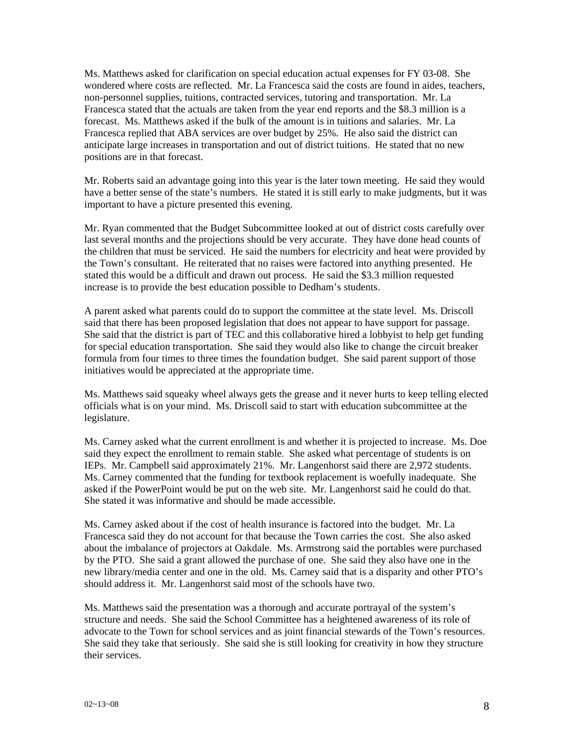Ms. Matthews asked for clarification on special education actual expenses for FY 03-08. She wondered where costs are reflected. Mr. La Francesca said the costs are found in aides, teachers, non-personnel supplies, tuitions, contracted services, tutoring and transportation. Mr. La Francesca stated that the actuals are taken from the year end reports and the \$8.3 million is a forecast. Ms. Matthews asked if the bulk of the amount is in tuitions and salaries. Mr. La Francesca replied that ABA services are over budget by 25%. He also said the district can anticipate large increases in transportation and out of district tuitions. He stated that no new positions are in that forecast.

Mr. Roberts said an advantage going into this year is the later town meeting. He said they would have a better sense of the state's numbers. He stated it is still early to make judgments, but it was important to have a picture presented this evening.

Mr. Ryan commented that the Budget Subcommittee looked at out of district costs carefully over last several months and the projections should be very accurate. They have done head counts of the children that must be serviced. He said the numbers for electricity and heat were provided by the Town's consultant. He reiterated that no raises were factored into anything presented. He stated this would be a difficult and drawn out process. He said the \$3.3 million requested increase is to provide the best education possible to Dedham's students.

A parent asked what parents could do to support the committee at the state level. Ms. Driscoll said that there has been proposed legislation that does not appear to have support for passage. She said that the district is part of TEC and this collaborative hired a lobbyist to help get funding for special education transportation. She said they would also like to change the circuit breaker formula from four times to three times the foundation budget. She said parent support of those initiatives would be appreciated at the appropriate time.

Ms. Matthews said squeaky wheel always gets the grease and it never hurts to keep telling elected officials what is on your mind. Ms. Driscoll said to start with education subcommittee at the legislature.

Ms. Carney asked what the current enrollment is and whether it is projected to increase. Ms. Doe said they expect the enrollment to remain stable. She asked what percentage of students is on IEPs. Mr. Campbell said approximately 21%. Mr. Langenhorst said there are 2,972 students. Ms. Carney commented that the funding for textbook replacement is woefully inadequate. She asked if the PowerPoint would be put on the web site. Mr. Langenhorst said he could do that. She stated it was informative and should be made accessible.

Ms. Carney asked about if the cost of health insurance is factored into the budget. Mr. La Francesca said they do not account for that because the Town carries the cost. She also asked about the imbalance of projectors at Oakdale. Ms. Armstrong said the portables were purchased by the PTO. She said a grant allowed the purchase of one. She said they also have one in the new library/media center and one in the old. Ms. Carney said that is a disparity and other PTO's should address it. Mr. Langenhorst said most of the schools have two.

Ms. Matthews said the presentation was a thorough and accurate portrayal of the system's structure and needs. She said the School Committee has a heightened awareness of its role of advocate to the Town for school services and as joint financial stewards of the Town's resources. She said they take that seriously. She said she is still looking for creativity in how they structure their services.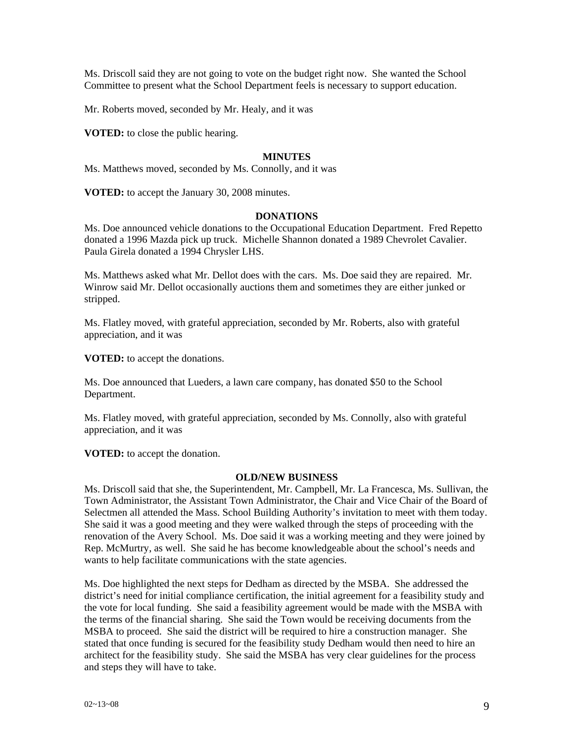Ms. Driscoll said they are not going to vote on the budget right now. She wanted the School Committee to present what the School Department feels is necessary to support education.

Mr. Roberts moved, seconded by Mr. Healy, and it was

**VOTED:** to close the public hearing.

## **MINUTES**

Ms. Matthews moved, seconded by Ms. Connolly, and it was

**VOTED:** to accept the January 30, 2008 minutes.

# **DONATIONS**

Ms. Doe announced vehicle donations to the Occupational Education Department. Fred Repetto donated a 1996 Mazda pick up truck. Michelle Shannon donated a 1989 Chevrolet Cavalier. Paula Girela donated a 1994 Chrysler LHS.

Ms. Matthews asked what Mr. Dellot does with the cars. Ms. Doe said they are repaired. Mr. Winrow said Mr. Dellot occasionally auctions them and sometimes they are either junked or stripped.

Ms. Flatley moved, with grateful appreciation, seconded by Mr. Roberts, also with grateful appreciation, and it was

**VOTED:** to accept the donations.

Ms. Doe announced that Lueders, a lawn care company, has donated \$50 to the School Department.

Ms. Flatley moved, with grateful appreciation, seconded by Ms. Connolly, also with grateful appreciation, and it was

**VOTED:** to accept the donation.

## **OLD/NEW BUSINESS**

Ms. Driscoll said that she, the Superintendent, Mr. Campbell, Mr. La Francesca, Ms. Sullivan, the Town Administrator, the Assistant Town Administrator, the Chair and Vice Chair of the Board of Selectmen all attended the Mass. School Building Authority's invitation to meet with them today. She said it was a good meeting and they were walked through the steps of proceeding with the renovation of the Avery School. Ms. Doe said it was a working meeting and they were joined by Rep. McMurtry, as well. She said he has become knowledgeable about the school's needs and wants to help facilitate communications with the state agencies.

Ms. Doe highlighted the next steps for Dedham as directed by the MSBA. She addressed the district's need for initial compliance certification, the initial agreement for a feasibility study and the vote for local funding. She said a feasibility agreement would be made with the MSBA with the terms of the financial sharing. She said the Town would be receiving documents from the MSBA to proceed. She said the district will be required to hire a construction manager. She stated that once funding is secured for the feasibility study Dedham would then need to hire an architect for the feasibility study. She said the MSBA has very clear guidelines for the process and steps they will have to take.